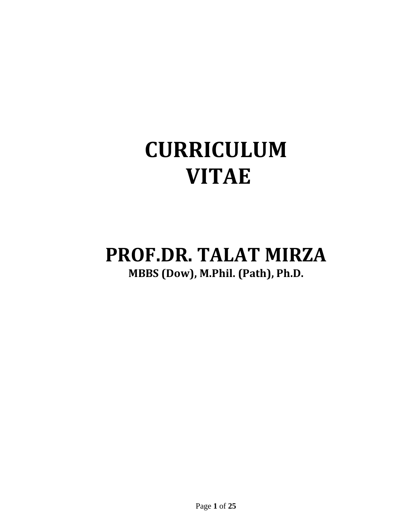# **CURRICULUM VITAE**

# **PROF.DR. TALAT MIRZA MBBS (Dow), M.Phil. (Path), Ph.D.**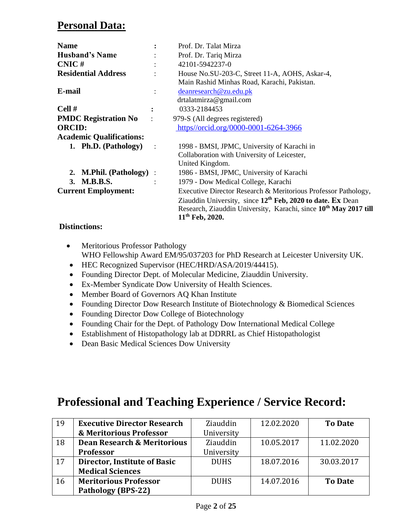### **Personal Data:**

| <b>Name</b>                     |                | Prof. Dr. Talat Mirza                                                        |  |  |
|---------------------------------|----------------|------------------------------------------------------------------------------|--|--|
| <b>Husband's Name</b>           |                | Prof. Dr. Tariq Mirza                                                        |  |  |
| $CNIC \#$                       | $\ddot{\cdot}$ | 42101-5942237-0                                                              |  |  |
| <b>Residential Address</b>      |                | House No.SU-203-C, Street 11-A, AOHS, Askar-4,                               |  |  |
|                                 |                | Main Rashid Minhas Road, Karachi, Pakistan.                                  |  |  |
| E-mail                          |                | deanresearch@zu.edu.pk                                                       |  |  |
|                                 |                | drtalatmirza@gmail.com                                                       |  |  |
| Cell#                           |                | 0333-2184453                                                                 |  |  |
| <b>PMDC Registration No</b>     |                | 979-S (All degrees registered)                                               |  |  |
| <b>ORCID:</b>                   |                | https://orcid.org/0000-0001-6264-3966                                        |  |  |
| <b>Academic Qualifications:</b> |                |                                                                              |  |  |
| 1. Ph.D. (Pathology)            | $\sim$ 1.      | 1998 - BMSI, JPMC, University of Karachi in                                  |  |  |
|                                 |                | Collaboration with University of Leicester,                                  |  |  |
|                                 |                | United Kingdom.                                                              |  |  |
| 2. M.Phil. (Pathology) :        |                | 1986 - BMSI, JPMC, University of Karachi                                     |  |  |
| 3. M.B.B.S.                     |                | 1979 - Dow Medical College, Karachi                                          |  |  |
| <b>Current Employment:</b>      |                | Executive Director Research & Meritorious Professor Pathology,               |  |  |
|                                 |                | Ziauddin University, since $12^{th}$ Feb, 2020 to date. Ex Dean              |  |  |
|                                 |                | Research, Ziauddin University, Karachi, since 10 <sup>th</sup> May 2017 till |  |  |
|                                 |                | $11th$ Feb, 2020.                                                            |  |  |

#### **Distinctions:**

- Meritorious Professor Pathology WHO Fellowship Award EM/95/037203 for PhD Research at Leicester University UK.
- HEC Recognized Supervisor (HEC/HRD/ASA/2019/44415).
- Founding Director Dept. of Molecular Medicine, Ziauddin University.
- Ex-Member Syndicate Dow University of Health Sciences.
- Member Board of Governors AQ Khan Institute
- Founding Director Dow Research Institute of Biotechnology & Biomedical Sciences
- Founding Director Dow College of Biotechnology
- Founding Chair for the Dept. of Pathology Dow International Medical College
- Establishment of Histopathology lab at DDRRL as Chief Histopathologist
- Dean Basic Medical Sciences Dow University

# **Professional and Teaching Experience / Service Record:**

| 19 | <b>Executive Director Research</b>     | Ziauddin    | 12.02.2020 | <b>To Date</b> |
|----|----------------------------------------|-------------|------------|----------------|
|    | & Meritorious Professor                | University  |            |                |
| 18 | <b>Dean Research &amp; Meritorious</b> | Ziauddin    | 10.05.2017 | 11.02.2020     |
|    | <b>Professor</b>                       | University  |            |                |
| 17 | Director, Institute of Basic           | <b>DUHS</b> | 18.07.2016 | 30.03.2017     |
|    | <b>Medical Sciences</b>                |             |            |                |
| 16 | <b>Meritorious Professor</b>           | <b>DUHS</b> | 14.07.2016 | <b>To Date</b> |
|    | <b>Pathology (BPS-22)</b>              |             |            |                |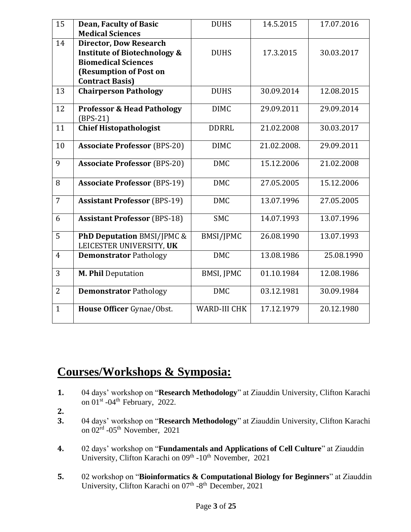| 15             | <b>Dean, Faculty of Basic</b>                                     | <b>DUHS</b>         | 14.5.2015   | 17.07.2016 |
|----------------|-------------------------------------------------------------------|---------------------|-------------|------------|
|                | <b>Medical Sciences</b>                                           |                     |             |            |
|                |                                                                   |                     |             |            |
| 14             | <b>Director, Dow Research</b>                                     |                     |             |            |
|                | <b>Institute of Biotechnology &amp;</b>                           | <b>DUHS</b>         | 17.3.2015   | 30.03.2017 |
|                | <b>Biomedical Sciences</b>                                        |                     |             |            |
|                | (Resumption of Post on                                            |                     |             |            |
|                | <b>Contract Basis)</b>                                            |                     |             |            |
| 13             | <b>Chairperson Pathology</b>                                      | <b>DUHS</b>         | 30.09.2014  | 12.08.2015 |
| 12             | <b>Professor &amp; Head Pathology</b>                             | <b>DIMC</b>         | 29.09.2011  | 29.09.2014 |
|                | $(BPS-21)$                                                        |                     |             |            |
| 11             | <b>Chief Histopathologist</b>                                     | <b>DDRRL</b>        | 21.02.2008  | 30.03.2017 |
| 10             | <b>Associate Professor (BPS-20)</b>                               | <b>DIMC</b>         | 21.02.2008. | 29.09.2011 |
| 9              | <b>Associate Professor (BPS-20)</b>                               | <b>DMC</b>          | 15.12.2006  | 21.02.2008 |
| 8              | <b>Associate Professor (BPS-19)</b>                               | <b>DMC</b>          | 27.05.2005  | 15.12.2006 |
| $\overline{7}$ | <b>Assistant Professor (BPS-19)</b>                               | <b>DMC</b>          | 13.07.1996  | 27.05.2005 |
| 6              | <b>Assistant Professor (BPS-18)</b>                               | <b>SMC</b>          | 14.07.1993  | 13.07.1996 |
| 5              | <b>PhD Deputation BMSI/JPMC &amp;</b><br>LEICESTER UNIVERSITY, UK | BMSI/JPMC           | 26.08.1990  | 13.07.1993 |
| $\overline{4}$ | <b>Demonstrator Pathology</b>                                     | <b>DMC</b>          | 13.08.1986  | 25.08.1990 |
| 3              | <b>M. Phil Deputation</b>                                         | <b>BMSI, JPMC</b>   | 01.10.1984  | 12.08.1986 |
| $\overline{2}$ | <b>Demonstrator Pathology</b>                                     | <b>DMC</b>          | 03.12.1981  | 30.09.1984 |
| $\mathbf{1}$   | House Officer Gynae/Obst.                                         | <b>WARD-III CHK</b> | 17.12.1979  | 20.12.1980 |

# **Courses/Workshops & Symposia:**

- **1.** 04 days' workshop on "**Research Methodology**" at Ziauddin University, Clifton Karachi on  $01<sup>st</sup>$  -04<sup>th</sup> February, 2022.
- **2.**
- **3.** 04 days' workshop on "**Research Methodology**" at Ziauddin University, Clifton Karachi on  $02^{\text{rd}}$  - $05^{\text{th}}$  November, 2021
- **4.** 02 days' workshop on "**Fundamentals and Applications of Cell Culture**" at Ziauddin University, Clifton Karachi on 09<sup>th</sup> -10<sup>th</sup> November, 2021
- **5.** 02 workshop on "**Bioinformatics & Computational Biology for Beginners**" at Ziauddin University, Clifton Karachi on 07<sup>th</sup> -8<sup>th</sup> December, 2021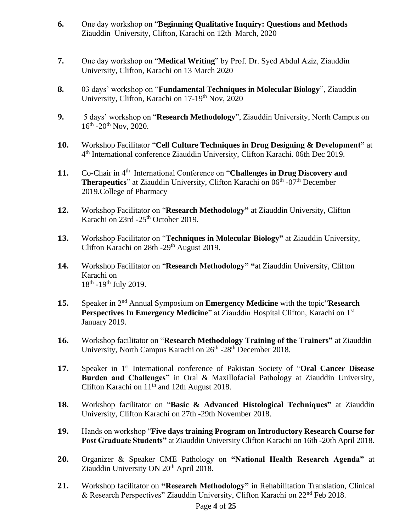- **6.** One day workshop on "**Beginning Qualitative Inquiry: Questions and Methods** Ziauddin University, Clifton, Karachi on 12th March, 2020
- **7.** One day workshop on "**Medical Writing**" by Prof. Dr. Syed Abdul Aziz, Ziauddin University, Clifton, Karachi on 13 March 2020
- **8.** 03 days' workshop on "**Fundamental Techniques in Molecular Biology**", Ziauddin University, Clifton, Karachi on 17-19<sup>th</sup> Nov, 2020
- **9.** 5 days' workshop on "**Research Methodology**", Ziauddin University, North Campus on 16<sup>th</sup> -20<sup>th</sup> Nov, 2020.
- **10.** Workshop Facilitator "**Cell Culture Techniques in Drug Designing & Development"** at 4 th International conference Ziauddin University, Clifton Karachi. 06th Dec 2019.
- 11. Co-Chair in 4<sup>th</sup> International Conference on "**Challenges in Drug Discovery and Therapeutics**" at Ziauddin University, Clifton Karachi on 06<sup>th</sup> -07<sup>th</sup> December 2019.College of Pharmacy
- **12.** Workshop Facilitator on "**Research Methodology"** at Ziauddin University, Clifton Karachi on 23rd -25<sup>th</sup> October 2019.
- **13.** Workshop Facilitator on "**Techniques in Molecular Biology"** at Ziauddin University, Clifton Karachi on 28th -29<sup>th</sup> August 2019.
- **14.** Workshop Facilitator on "**Research Methodology" "**at Ziauddin University, Clifton Karachi on 18<sup>th</sup> -19<sup>th</sup> July 2019.
- 15. Speaker in 2<sup>nd</sup> Annual Symposium on **Emergency Medicine** with the topic **Research Perspectives In Emergency Medicine**" at Ziauddin Hospital Clifton, Karachi on 1<sup>st</sup> January 2019.
- **16.** Workshop facilitator on "**Research Methodology Training of the Trainers"** at Ziauddin University, North Campus Karachi on 26<sup>th</sup> -28<sup>th</sup> December 2018.
- 17. Speaker in 1<sup>st</sup> International conference of Pakistan Society of "Oral Cancer Disease **Burden and Challenges"** in Oral & Maxillofacial Pathology at Ziauddin University, Clifton Karachi on 11<sup>th</sup> and 12th August 2018.
- **18.** Workshop facilitator on "**Basic & Advanced Histological Techniques"** at Ziauddin University, Clifton Karachi on 27th -29th November 2018.
- **19.** Hands on workshop "**Five days training Program on Introductory Research Course for Post Graduate Students"** at Ziauddin University Clifton Karachi on 16th -20th April 2018.
- **20.** Organizer & Speaker CME Pathology on **"National Health Research Agenda"** at Ziauddin University ON 20<sup>th</sup> April 2018.
- **21.** Workshop facilitator on **"Research Methodology"** in Rehabilitation Translation, Clinical & Research Perspectives" Ziauddin University, Clifton Karachi on 22nd Feb 2018.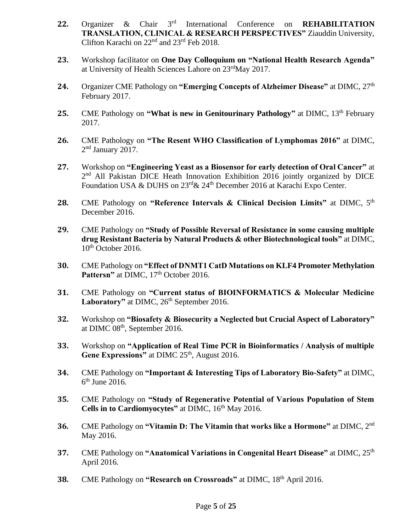- **22.** Organizer & Chair 3 rd International Conference on **REHABILITATION TRANSLATION, CLINICAL & RESEARCH PERSPECTIVES"** Ziauddin University, Clifton Karachi on 22nd and 23rd Feb 2018.
- **23.** Workshop facilitator on **One Day Colloquium on "National Health Research Agenda"** at University of Health Sciences Lahore on 23rdMay 2017.
- **24.** Organizer CME Pathology on **"Emerging Concepts of Alzheimer Disease"** at DIMC, 27th February 2017.
- **25.** CME Pathology on "What is new in Genitourinary Pathology" at DIMC, 13<sup>th</sup> February 2017.
- **26.** CME Pathology on **"The Resent WHO Classification of Lymphomas 2016"** at DIMC, 2<sup>nd</sup> January 2017.
- **27.** Workshop on **"Engineering Yeast as a Biosensor for early detection of Oral Cancer"** at 2<sup>nd</sup> All Pakistan DICE Heath Innovation Exhibition 2016 jointly organized by DICE Foundation USA & DUHS on  $23^{\text{rd}}$ &  $24^{\text{th}}$  December 2016 at Karachi Expo Center.
- **28.** CME Pathology on **"Reference Intervals & Clinical Decision Limits"** at DIMC, 5th December 2016.
- **29.** CME Pathology on **"Study of Possible Reversal of Resistance in some causing multiple drug Resistant Bacteria by Natural Products & other Biotechnological tools"** at DIMC,  $10<sup>th</sup>$  October 2016.
- **30.** CME Pathology on **"Effect of DNMT1 CatD Mutations on KLF4 Promoter Methylation**  Pattersn" at DIMC, 17<sup>th</sup> October 2016.
- **31.** CME Pathology on **"Current status of BIOINFORMATICS & Molecular Medicine**  Laboratory" at DIMC, 26<sup>th</sup> September 2016.
- **32.** Workshop on **"Biosafety & Biosecurity a Neglected but Crucial Aspect of Laboratory"** at DIMC 08<sup>th</sup>, September 2016.
- **33.** Workshop on **"Application of Real Time PCR in Bioinformatics / Analysis of multiple**  Gene Expressions" at DIMC 25<sup>th</sup>, August 2016.
- **34.** CME Pathology on **"Important & Interesting Tips of Laboratory Bio-Safety"** at DIMC,  $6<sup>th</sup>$  June 2016.
- **35.** CME Pathology on **"Study of Regenerative Potential of Various Population of Stem Cells in to Cardiomyocytes"** at DIMC,  $16<sup>th</sup>$  May 2016.
- **36.** CME Pathology on **"Vitamin D: The Vitamin that works like a Hormone"** at DIMC, 2nd May 2016.
- **37.** CME Pathology on **"Anatomical Variations in Congenital Heart Disease"** at DIMC, 25th April 2016.
- **38.** CME Pathology on **"Research on Crossroads"** at DIMC, 18th April 2016.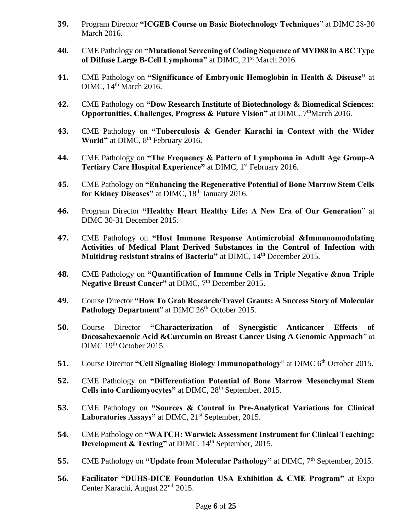- **39.** Program Director **"ICGEB Course on Basic Biotechnology Techniques**" at DIMC 28-30 March 2016.
- **40.** CME Pathology on **"Mutational Screening of Coding Sequence of MYD88 in ABC Type of Diffuse Large B-Cell Lymphoma"** at DIMC, 21st March 2016.
- **41.** CME Pathology on **"Significance of Embryonic Hemoglobin in Health & Disease"** at DIMC, 14<sup>th</sup> March 2016.
- **42.** CME Pathology on **"Dow Research Institute of Biotechnology & Biomedical Sciences: Opportunities, Challenges, Progress & Future Vision"** at DIMC, 7<sup>th</sup>March 2016.
- **43.** CME Pathology on **"Tuberculosis & Gender Karachi in Context with the Wider**  World" at DIMC, 8<sup>th</sup> February 2016.
- **44.** CME Pathology on **"The Frequency & Pattern of Lymphoma in Adult Age Group-A Tertiary Care Hospital Experience"** at DIMC, 1<sup>st</sup> February 2016.
- **45.** CME Pathology on **"Enhancing the Regenerative Potential of Bone Marrow Stem Cells**  for Kidney Diseases" at DIMC, 18<sup>th</sup> January 2016.
- **46.** Program Director **"Healthy Heart Healthy Life: A New Era of Our Generation**" at DIMC 30-31 December 2015.
- **47.** CME Pathology on **"Host Immune Response Antimicrobial &Immunomodulating Activities of Medical Plant Derived Substances in the Control of Infection with Multidrug resistant strains of Bacteria"** at DIMC, 14<sup>th</sup> December 2015.
- **48.** CME Pathology on **"Quantification of Immune Cells in Triple Negative &non Triple**  Negative Breast Cancer" at DIMC, 7<sup>th</sup> December 2015.
- **49.** Course Director **"How To Grab Research/Travel Grants: A Success Story of Molecular**  Pathology Department" at DIMC 26<sup>th</sup> October 2015.
- **50.** Course Director **"Characterization of Synergistic Anticancer Effects of Docosahexaenoic Acid &Curcumin on Breast Cancer Using A Genomic Approach**" at DIMC 19<sup>th</sup> October 2015.
- **51.** Course Director "Cell Signaling Biology Immunopathology" at DIMC 6<sup>th</sup> October 2015.
- **52.** CME Pathology on **"Differentiation Potential of Bone Marrow Mesenchymal Stem**  Cells into Cardiomyocytes" at DIMC, 28<sup>th</sup> September, 2015.
- **53.** CME Pathology on **"Sources & Control in Pre-Analytical Variations for Clinical**  Laboratories Assays" at DIMC, 21<sup>st</sup> September, 2015.
- **54.** CME Pathology on **"WATCH: Warwick Assessment Instrument for Clinical Teaching: Development & Testing"** at DIMC,  $14<sup>th</sup>$  September, 2015.
- **55.** CME Pathology on "Update from Molecular Pathology" at DIMC, 7<sup>th</sup> September, 2015.
- **56. Facilitator "DUHS-DICE Foundation USA Exhibition & CME Program"** at Expo Center Karachi, August 22nd, 2015.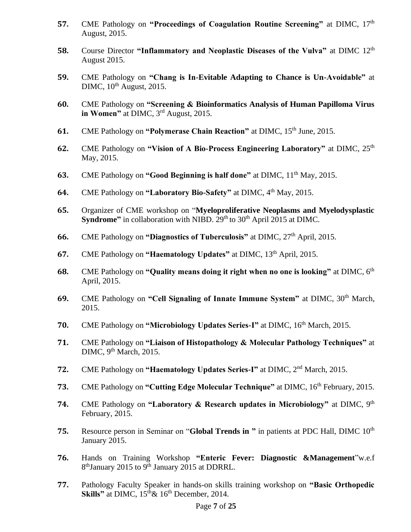- **57.** CME Pathology on "Proceedings of Coagulation Routine Screening" at DIMC, 17<sup>th</sup> August, 2015.
- **58.** Course Director **"Inflammatory and Neoplastic Diseases of the Vulva"** at DIMC 12<sup>th</sup> August 2015.
- **59.** CME Pathology on **"Chang is In-Evitable Adapting to Chance is Un-Avoidable"** at DIMC,  $10^{th}$  August,  $2015$ .
- **60.** CME Pathology on **"Screening & Bioinformatics Analysis of Human Papilloma Virus in Women"** at DIMC, 3rd August, 2015.
- **61.** CME Pathology on **"Polymerase Chain Reaction"** at DIMC, 15<sup>th</sup> June, 2015.
- **62.** CME Pathology on "Vision of A Bio-Process Engineering Laboratory" at DIMC, 25<sup>th</sup> May, 2015.
- **63.** CME Pathology on "Good Beginning is half done" at DIMC,  $11<sup>th</sup>$  May, 2015.
- **64.** CME Pathology on "Laboratory Bio-Safety" at DIMC, 4<sup>th</sup> May, 2015.
- **65.** Organizer of CME workshop on "**Myeloproliferative Neoplasms and Myelodysplastic Syndrome"** in collaboration with NIBD. 29<sup>th</sup> to 30<sup>th</sup> April 2015 at DIMC.
- **66.** CME Pathology on "Diagnostics of Tuberculosis" at DIMC, 27<sup>th</sup> April, 2015.
- **67.** CME Pathology on "Haematology Updates" at DIMC, 13<sup>th</sup> April, 2015.
- **68.** CME Pathology on "Quality means doing it right when no one is looking" at DIMC, 6<sup>th</sup> April, 2015.
- **69.** CME Pathology on **"Cell Signaling of Innate Immune System"** at DIMC, 30th March, 2015.
- **70.** CME Pathology on "Microbiology Updates Series-I" at DIMC, 16<sup>th</sup> March, 2015.
- **71.** CME Pathology on **"Liaison of Histopathology & Molecular Pathology Techniques"** at  $\text{DIMC}, 9^{\text{th}} \text{March}, 2015.$
- **72.** CME Pathology on **"Haematology Updates Series-I"** at DIMC, 2nd March, 2015.
- **73.** CME Pathology on **"Cutting Edge Molecular Technique"** at DIMC, 16th February, 2015.
- **74.** CME Pathology on **"Laboratory & Research updates in Microbiology"** at DIMC, 9th February, 2015.
- **75.** Resource person in Seminar on "**Global Trends in "** in patients at PDC Hall, DIMC 10th January 2015.
- **76.** Hands on Training Workshop **"Enteric Fever: Diagnostic &Management**"w.e.f 8<sup>th</sup>January 2015 to 9<sup>th</sup> January 2015 at DDRRL.
- **77.** Pathology Faculty Speaker in hands-on skills training workshop on **"Basic Orthopedic Skills**" at DIMC,  $15<sup>th</sup> \& 16<sup>th</sup>$  December, 2014.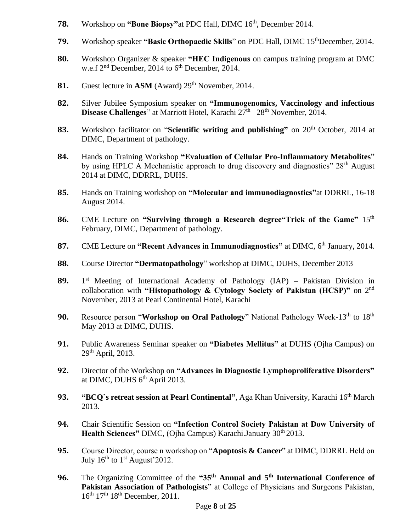- **78.** Workshop on "Bone Biopsy" at PDC Hall, DIMC 16<sup>th</sup>, December 2014.
- **79.** Workshop speaker "Basic Orthopaedic Skills" on PDC Hall, DIMC 15<sup>th</sup>December, 2014.
- **80.** Workshop Organizer & speaker **"HEC Indigenous** on campus training program at DMC w.e.f  $2<sup>nd</sup>$  December, 2014 to  $6<sup>th</sup>$  December, 2014.
- 81. Guest lecture in ASM (Award) 29<sup>th</sup> November, 2014.
- **82.** Silver Jubilee Symposium speaker on **"Immunogenomics, Vaccinology and infectious Disease Challenges**" at Marriott Hotel, Karachi 27<sup>th</sup>– 28<sup>th</sup> November, 2014.
- **83.** Workshop facilitator on "**Scientific writing and publishing**" on 20<sup>th</sup> October, 2014 at DIMC, Department of pathology.
- **84.** Hands on Training Workshop **"Evaluation of Cellular Pro-Inflammatory Metabolites**" by using HPLC A Mechanistic approach to drug discovery and diagnostics" 28<sup>th</sup> August 2014 at DIMC, DDRRL, DUHS.
- **85.** Hands on Training workshop on **"Molecular and immunodiagnostics"**at DDRRL, 16-18 August 2014.
- **86.** CME Lecture on **"Surviving through a Research degree"Trick of the Game"** 15th February, DIMC, Department of pathology.
- 87. CME Lecture on "Recent Advances in Immunodiagnostics" at DIMC, 6<sup>th</sup> January, 2014.
- **88.** Course Director **"Dermatopathology**" workshop at DIMC, DUHS, December 2013
- **89.** 1  $1<sup>st</sup>$  Meeting of International Academy of Pathology (IAP) – Pakistan Division in collaboration with **"Histopathology & Cytology Society of Pakistan (HCSP)"** on 2nd November, 2013 at Pearl Continental Hotel, Karachi
- **90.** Resource person "Workshop on Oral Pathology" National Pathology Week-13<sup>th</sup> to 18<sup>th</sup> May 2013 at DIMC, DUHS.
- **91.** Public Awareness Seminar speaker on **"Diabetes Mellitus"** at DUHS (Ojha Campus) on  $29<sup>th</sup>$  April, 2013.
- **92.** Director of the Workshop on **"Advances in Diagnostic Lymphoproliferative Disorders"** at DIMC, DUHS 6<sup>th</sup> April 2013.
- **93. "BCQ`s retreat session at Pearl Continental"**, Aga Khan University, Karachi 16<sup>th</sup> March 2013.
- **94.** Chair Scientific Session on **"Infection Control Society Pakistan at Dow University of Health Sciences"** DIMC, (Ojha Campus) Karachi.January 30<sup>th</sup> 2013.
- **95.** Course Director, course n workshop on "**Apoptosis & Cancer**" at DIMC, DDRRL Held on July  $16^{th}$  to  $1<sup>st</sup>$  August'2012.
- **96.** The Organizing Committee of the **"35th Annual and 5th International Conference of Pakistan Association of Pathologists**" at College of Physicians and Surgeons Pakistan, 16<sup>th</sup> 17<sup>th</sup> 18<sup>th</sup> December, 2011.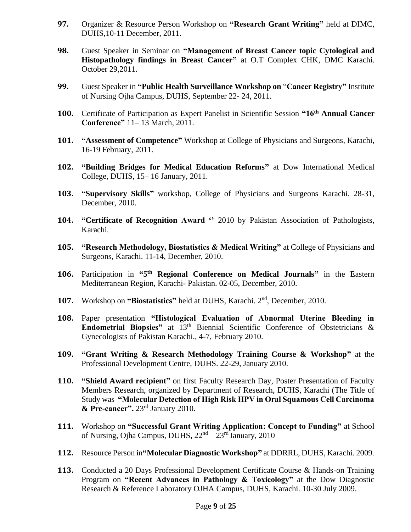- **97.** Organizer & Resource Person Workshop on **"Research Grant Writing"** held at DIMC, DUHS,10-11 December, 2011.
- **98.** Guest Speaker in Seminar on **"Management of Breast Cancer topic Cytological and Histopathology findings in Breast Cancer"** at O.T Complex CHK, DMC Karachi. October 29,2011.
- **99.** Guest Speaker in **"Public Health Surveillance Workshop on** "**Cancer Registry"** Institute of Nursing Ojha Campus, DUHS, September 22- 24, 2011.
- **100.** Certificate of Participation as Expert Panelist in Scientific Session **"16th Annual Cancer Conference"** 11– 13 March, 2011.
- **101. "Assessment of Competence"** Workshop at College of Physicians and Surgeons, Karachi, 16-19 February, 2011.
- **102. "Building Bridges for Medical Education Reforms"** at Dow International Medical College, DUHS, 15– 16 January, 2011.
- **103. "Supervisory Skills"** workshop, College of Physicians and Surgeons Karachi. 28-31, December, 2010.
- **104. "Certificate of Recognition Award ''** 2010 by Pakistan Association of Pathologists, Karachi.
- **105. "Research Methodology, Biostatistics & Medical Writing"** at College of Physicians and Surgeons, Karachi. 11-14, December, 2010.
- 106. Participation in "5<sup>th</sup> Regional Conference on Medical Journals" in the Eastern Mediterranean Region, Karachi- Pakistan. 02-05, December, 2010.
- **107.** Workshop on **"Biostatistics"** held at DUHS, Karachi. 2nd , December, 2010.
- **108.** Paper presentation **"Histological Evaluation of Abnormal Uterine Bleeding in Endometrial Biopsies**" at 13<sup>th</sup> Biennial Scientific Conference of Obstetricians & Gynecologists of Pakistan Karachi., 4-7, February 2010.
- **109. "Grant Writing & Research Methodology Training Course & Workshop"** at the Professional Development Centre, DUHS. 22-29, January 2010.
- **110. "Shield Award recipient"** on first Faculty Research Day, Poster Presentation of Faculty Members Research, organized by Department of Research, DUHS, Karachi (The Title of Study was **"Molecular Detection of High Risk HPV in Oral Squamous Cell Carcinoma & Pre-cancer".** 23rd January 2010.
- **111.** Workshop on **"Successful Grant Writing Application: Concept to Funding"** at School of Nursing, Ojha Campus, DUHS,  $22<sup>nd</sup> - 23<sup>rd</sup>$  January, 2010
- **112.** Resource Person in**"Molecular Diagnostic Workshop"** at DDRRL, DUHS, Karachi. 2009.
- **113.** Conducted a 20 Days Professional Development Certificate Course & Hands-on Training Program on **"Recent Advances in Pathology & Toxicology"** at the Dow Diagnostic Research & Reference Laboratory OJHA Campus, DUHS, Karachi. 10-30 July 2009.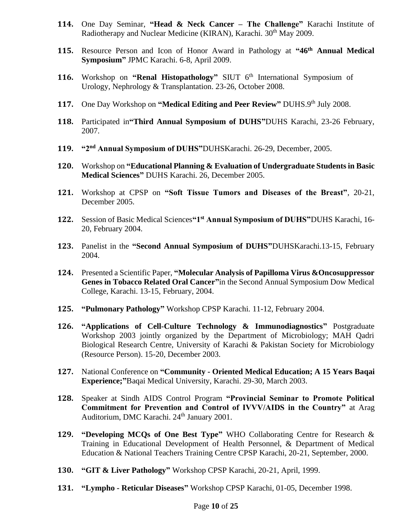- **114.** One Day Seminar, **"Head & Neck Cancer – The Challenge"** Karachi Institute of Radiotherapy and Nuclear Medicine (KIRAN), Karachi. 30<sup>th</sup> May 2009.
- **115.** Resource Person and Icon of Honor Award in Pathology at **"46th Annual Medical Symposium"** JPMC Karachi. 6-8, April 2009.
- **116.** Workshop on "Renal Histopathology" SIUT 6<sup>th</sup> International Symposium of Urology, Nephrology & Transplantation. 23-26, October 2008.
- **117.** One Day Workshop on "Medical Editing and Peer Review" DUHS.9th July 2008.
- **118.** Participated in**"Third Annual Symposium of DUHS"**DUHS Karachi, 23-26 February, 2007.
- **119. "2nd Annual Symposium of DUHS"**DUHSKarachi. 26-29, December, 2005.
- **120.** Workshop on **"Educational Planning & Evaluation of Undergraduate Students in Basic Medical Sciences"** DUHS Karachi. 26, December 2005.
- **121.** Workshop at CPSP on **"Soft Tissue Tumors and Diseases of the Breast"**, 20-21, December 2005.
- **122.** Session of Basic Medical Sciences**"1st Annual Symposium of DUHS"**DUHS Karachi, 16- 20, February 2004.
- **123.** Panelist in the **"Second Annual Symposium of DUHS"**DUHSKarachi.13-15, February 2004.
- **124.** Presented a Scientific Paper, **"Molecular Analysis of Papilloma Virus &Oncosuppressor Genes in Tobacco Related Oral Cancer"**in the Second Annual Symposium Dow Medical College, Karachi. 13-15, February, 2004.
- **125. "Pulmonary Pathology"** Workshop CPSP Karachi. 11-12, February 2004.
- **126. "Applications of Cell-Culture Technology & Immunodiagnostics"** Postgraduate Workshop 2003 jointly organized by the Department of Microbiology; MAH Qadri Biological Research Centre, University of Karachi & Pakistan Society for Microbiology (Resource Person). 15-20, December 2003.
- **127.** National Conference on **"Community - Oriented Medical Education; A 15 Years Baqai Experience;"**Baqai Medical University, Karachi. 29-30, March 2003.
- **128.** Speaker at Sindh AIDS Control Program **"Provincial Seminar to Promote Political Commitment for Prevention and Control of IVVV/AIDS in the Country"** at Arag Auditorium, DMC Karachi. 24<sup>th</sup> January 2001.
- **129. "Developing MCQs of One Best Type"** WHO Collaborating Centre for Research & Training in Educational Development of Health Personnel, & Department of Medical Education & National Teachers Training Centre CPSP Karachi, 20-21, September, 2000.
- **130. "GIT & Liver Pathology"** Workshop CPSP Karachi, 20-21, April, 1999.
- **131. "Lympho - Reticular Diseases"** Workshop CPSP Karachi, 01-05, December 1998.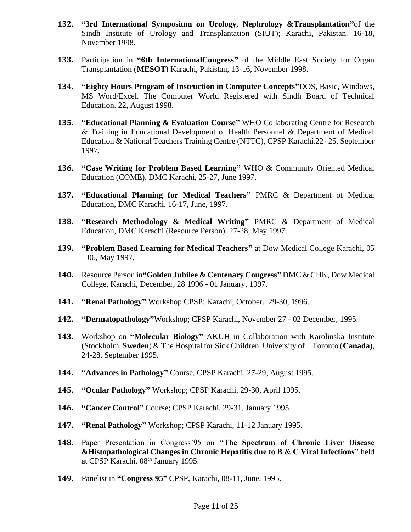- **132. "3rd International Symposium on Urology, Nephrology &Transplantation"**of the Sindh Institute of Urology and Transplantation (SIUT); Karachi, Pakistan. 16-18, November 1998.
- **133.** Participation in **"6th InternationalCongress"** of the Middle East Society for Organ Transplantation (**MESOT**) Karachi, Pakistan, 13-16, November 1998.
- **134. "Eighty Hours Program of Instruction in Computer Concepts"**DOS, Basic, Windows, MS Word/Excel. The Computer World Registered with Sindh Board of Technical Education. 22, August 1998.
- **135. "Educational Planning & Evaluation Course"** WHO Collaborating Centre for Research & Training in Educational Development of Health Personnel & Department of Medical Education & National Teachers Training Centre (NTTC), CPSP Karachi.22- 25, September 1997.
- **136. "Case Writing for Problem Based Learning"** WHO & Community Oriented Medical Education (COME), DMC Karachi, 25-27, June 1997.
- **137. "Educational Planning for Medical Teachers"** PMRC & Department of Medical Education, DMC Karachi. 16-17, June, 1997.
- **138. "Research Methodology & Medical Writing"** PMRC & Department of Medical Education, DMC Karachi (Resource Person). 27-28, May 1997.
- **139. "Problem Based Learning for Medical Teachers"** at Dow Medical College Karachi, 05 – 06, May 1997.
- **140.** Resource Person in**"Golden Jubilee & Centenary Congress"** DMC & CHK, Dow Medical College, Karachi, December, 28 1996 - 01 January, 1997.
- **141. "Renal Pathology"** Workshop CPSP; Karachi, October. 29-30, 1996.
- **142. "Dermatopathology"**Workshop; CPSP Karachi, November 27 02 December, 1995.
- **143.** Workshop on **"Molecular Biology"** AKUH in Collaboration with Karolinska Institute (Stockholm, **Sweden**) & The Hospital for Sick Children, University of Toronto (**Canada**), 24-28, September 1995.
- **144. "Advances in Pathology"** Course, CPSP Karachi, 27-29, August 1995.
- **145. "Ocular Pathology"** Workshop; CPSP Karachi, 29-30, April 1995.
- **146. "Cancer Control"** Course; CPSP Karachi, 29-31, January 1995.
- **147. "Renal Pathology"** Workshop; CPSP Karachi, 11-12 January 1995.
- **148.** Paper Presentation in Congress'95 on **"The Spectrum of Chronic Liver Disease &Histopathological Changes in Chronic Hepatitis due to B & C Viral Infections"** held at CPSP Karachi. 08<sup>th</sup> January 1995.
- **149.** Panelist in **"Congress 95"** CPSP, Karachi, 08-11, June, 1995.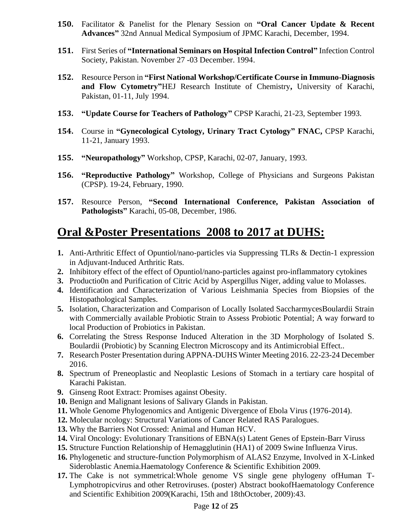- **150.** Facilitator & Panelist for the Plenary Session on **"Oral Cancer Update & Recent Advances"** 32nd Annual Medical Symposium of JPMC Karachi, December, 1994.
- **151.** First Series of **"International Seminars on Hospital Infection Control"** Infection Control Society, Pakistan. November 27 -03 December. 1994.
- **152.** Resource Person in **"First National Workshop/Certificate Course in Immuno-Diagnosis and Flow Cytometry"**HEJ Research Institute of Chemistry**,** University of Karachi, Pakistan, 01-11, July 1994.
- **153. "Update Course for Teachers of Pathology"** CPSP Karachi, 21-23, September 1993.
- **154.** Course in **"Gynecological Cytology, Urinary Tract Cytology" FNAC,** CPSP Karachi, 11-21, January 1993.
- **155. "Neuropathology"** Workshop, CPSP, Karachi, 02-07, January, 1993.
- **156. "Reproductive Pathology"** Workshop, College of Physicians and Surgeons Pakistan (CPSP). 19-24, February, 1990.
- **157.** Resource Person, **"Second International Conference, Pakistan Association of Pathologists"** Karachi, 05-08, December, 1986.

# **Oral &Poster Presentations 2008 to 2017 at DUHS:**

- **1.** Anti-Arthritic Effect of Opuntiol/nano-particles via Suppressing TLRs & Dectin-1 expression in Adjuvant-Induced Arthritic Rats.
- **2.** Inhibitory effect of the effect of Opuntiol/nano-particles against pro-inflammatory cytokines
- **3.** Productio0n and Purification of Citric Acid by Aspergillus Niger, adding value to Molasses.
- **4.** Identification and Characterization of Various Leishmania Species from Biopsies of the Histopathological Samples.
- **5.** Isolation, Characterization and Comparison of Locally Isolated SaccharmycesBoulardii Strain with Commercially available Probiotic Strain to Assess Probiotic Potential; A way forward to local Production of Probiotics in Pakistan.
- **6.** Correlating the Stress Response Induced Alteration in the 3D Morphology of Isolated S. Boulardii (Probiotic) by Scanning Electron Microscopy and its Antimicrobial Effect..
- **7.** Research Poster Presentation during APPNA-DUHS Winter Meeting 2016. 22-23-24 December 2016.
- **8.** Spectrum of Preneoplastic and Neoplastic Lesions of Stomach in a tertiary care hospital of Karachi Pakistan.
- **9.** Ginseng Root Extract: Promises against Obesity.
- **10.** Benign and Malignant lesions of Salivary Glands in Pakistan.
- **11.** Whole Genome Phylogenomics and Antigenic Divergence of Ebola Virus (1976-2014).
- **12.** Molecular ncology: Structural Variations of Cancer Related RAS Paralogues.
- **13.** Why the Barriers Not Crossed: Animal and Human HCV.
- **14.** Viral Oncology: Evolutionary Transitions of EBNA(s) Latent Genes of Epstein-Barr Viruss
- **15.** Structure Function Relationship of Hemagglutinin (HA1) of 2009 Swine Influenza Virus.
- **16.** Phylogenetic and structure-function Polymorphism of ALAS2 Enzyme, Involved in X-Linked Sideroblastic Anemia.Haematology Conference & Scientific Exhibition 2009.
- **17.** The Cake is not symmetrical:Whole genome VS single gene phylogeny ofHuman T-Lymphotropicvirus and other Retroviruses. (poster) Abstract bookofHaematology Conference and Scientific Exhibition 2009(Karachi, 15th and 18thOctober, 2009):43.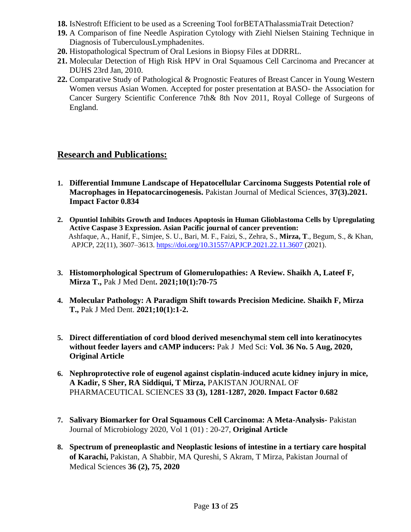- **18.** IsNestroft Efficient to be used as a Screening Tool forBETAThalassmiaTrait Detection?
- **19.** A Comparison of fine Needle Aspiration Cytology with Ziehl Nielsen Staining Technique in Diagnosis of TuberculousLymphadenites.
- **20.** Histopathological Spectrum of Oral Lesions in Biopsy Files at DDRRL.
- **21.** Molecular Detection of High Risk HPV in Oral Squamous Cell Carcinoma and Precancer at DUHS 23rd Jan, 2010.
- **22.** Comparative Study of Pathological & Prognostic Features of Breast Cancer in Young Western Women versus Asian Women. Accepted for poster presentation at BASO- the Association for Cancer Surgery Scientific Conference 7th& 8th Nov 2011, Royal College of Surgeons of England.

#### **Research and Publications:**

- **1. Differential Immune Landscape of Hepatocellular Carcinoma Suggests Potential role of Macrophages in Hepatocarcinogenesis.** Pakistan Journal of Medical Sciences, **37(3).2021. Impact Factor 0.834**
- **2. Opuntiol Inhibits Growth and Induces Apoptosis in Human Glioblastoma Cells by Upregulating Active Caspase 3 Expression. Asian Pacific journal of cancer prevention:** Ashfaque, A., Hanif, F., Simjee, S. U., Bari, M. F., Faizi, S., Zehra, S., **Mirza, T**., Begum, S., & Khan, APJCP, 22(11), 3607–3613.<https://doi.org/10.31557/APJCP.2021.22.11.3607> (2021).
- **3. Histomorphological Spectrum of Glomerulopathies: A Review. Shaikh A, Lateef F, Mirza T.,** Pak J Med Dent**. 2021;10(1):70-75**
- **4. Molecular Pathology: A Paradigm Shift towards Precision Medicine. Shaikh F, Mirza T.,** Pak J Med Dent. **2021;10(1):1-2.**
- **5. Direct differentiation of cord blood derived mesenchymal stem cell into keratinocytes without feeder layers and cAMP inducers:** Pak J Med Sci: **Vol. 36 No. 5 Aug, 2020, Original Article**
- **6. Nephroprotective role of eugenol against cisplatin-induced acute kidney injury in mice, A Kadir, S Sher, RA Siddiqui, T Mirza,** PAKISTAN JOURNAL OF PHARMACEUTICAL SCIENCES **33 (3), 1281-1287, 2020. Impact Factor 0.682**
- **7. Salivary Biomarker for Oral Squamous Cell Carcinoma: A Meta-Analysis-** Pakistan Journal of Microbiology 2020, Vol 1 (01) : 20-27, **Original Article**
- **8. Spectrum of preneoplastic and Neoplastic lesions of intestine in a tertiary care hospital of Karachi,** Pakistan, A Shabbir, MA Qureshi, S Akram, T Mirza, Pakistan Journal of Medical Sciences **36 (2), 75, 2020**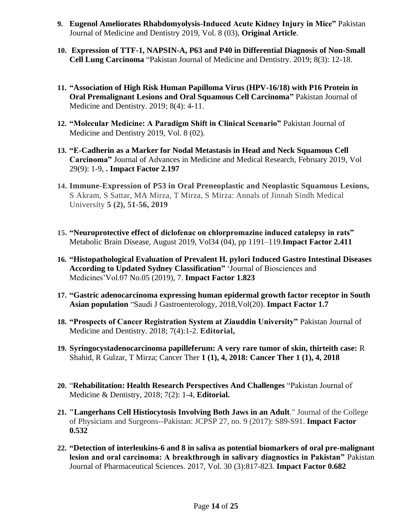- **9. Eugenol Ameliorates Rhabdomyolysis-Induced Acute Kidney Injury in Mice"** Pakistan Journal of Medicine and Dentistry 2019, Vol. 8 (03), **Original Article**.
- **10. Expression of TTF-1, NAPSIN-A, P63 and P40 in Differential Diagnosis of Non-Small Cell Lung Carcinoma** "Pakistan Journal of Medicine and Dentistry. 2019; 8(3): 12-18.
- **11. "Association of High Risk Human Papilloma Virus (HPV-16/18) with P16 Protein in Oral Premalignant Lesions and Oral Squamous Cell Carcinoma"** Pakistan Journal of Medicine and Dentistry. 2019; 8(4): 4-11.
- **12. "Molecular Medicine: A Paradigm Shift in Clinical Scenario"** Pakistan Journal of Medicine and Dentistry 2019, Vol. 8 (02).
- **13. "E-Cadherin as a Marker for Nodal Metastasis in Head and Neck Squamous Cell Carcinoma"** Journal of Advances in Medicine and Medical Research, February 2019, Vol 29(9): 1-9, **. Impact Factor 2.197**
- **14. Immune-Expression of P53 in Oral Preneoplastic and Neoplastic Squamous Lesions,** S Akram, S Sattar, MA Mirza, T Mirza, S Mirza: Annals of Jinnah Sindh Medical University **5 (2), 51-56, 2019**
- **15. "Neuroprotective effect of diclofenac on chlorpromazine induced catalepsy in rats"** Metabolic Brain Disease, August 2019, Vol34 (04), pp 1191–119.**Impact Factor 2.411**
- **16. "Histopathological Evaluation of Prevalent H. pylori Induced Gastro Intestinal Diseases According to Updated Sydney Classification"** 'Journal of Biosciences and Medicines'Vol.07 No.05 (2019), 7. **Impact Factor 1.823**
- **17. "Gastric adenocarcinoma expressing human epidermal growth factor receptor in South Asian population** "Saudi J Gastroenterology, 2018,Vol(20). **Impact Factor 1.7**
- **18. "Prospects of Cancer Registration System at Ziauddin University"** Pakistan Journal of Medicine and Dentistry. 2018; 7(4):1-2. **Editorial,**
- **19. Syringocystadenocarcinoma papilleferum: A very rare tumor of skin, thirteith case:** R Shahid, R Gulzar, T Mirza; Cancer Ther **1 (1), 4, 2018: Cancer Ther 1 (1), 4, 2018**
- **20.** "**Rehabilitation: Health Research Perspectives And Challenges** "Pakistan Journal of Medicine & Dentistry, 2018; 7(2): 1-4, **Editorial.**
- **21. "Langerhans Cell Histiocytosis Involving Both Jaws in an Adult**." Journal of the College of Physicians and Surgeons--Pakistan: JCPSP 27, no. 9 (2017): S89-S91. **Impact Factor 0.532**
- **22. "Detection of interleukins-6 and 8 in saliva as potential biomarkers of oral pre-malignant lesion and oral carcinoma: A breakthrough in salivary diagnostics in Pakistan"** Pakistan Journal of Pharmaceutical Sciences. 2017, Vol. 30 (3):817-823. **Impact Factor 0.682**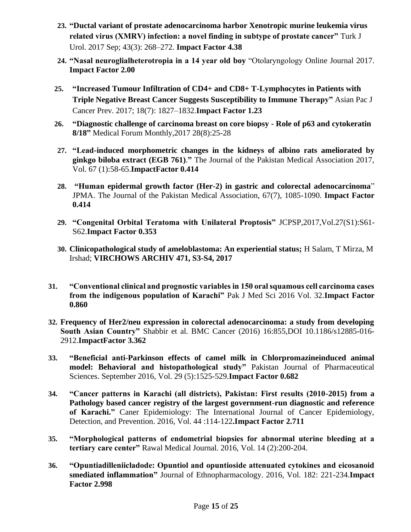- **23. "Ductal variant of prostate adenocarcinoma harbor Xenotropic murine leukemia virus related virus (XMRV) infection: a novel finding in subtype of prostate cancer"** Turk J Urol. 2017 Sep; 43(3): 268–272. **Impact Factor 4.38**
- **24. "Nasal neuroglialheterotropia in a 14 year old boy** "Otolaryngology Online Journal 2017. **Impact Factor 2.00**
- **25. "Increased Tumour Infiltration of CD4+ and CD8+ T-Lymphocytes in Patients with Triple Negative Breast Cancer Suggests Susceptibility to Immune Therapy"** Asian Pac J Cancer Prev. 2017; 18(7): 1827–1832.**Impact Factor 1.23**
- **26. "Diagnostic challenge of carcinoma breast on core biopsy - Role of p63 and cytokeratin 8/18"** Medical Forum Monthly,2017 28(8):25-28
- **27. "Lead-induced morphometric changes in the kidneys of albino rats ameliorated by ginkgo biloba extract (EGB 761)**.**"** The Journal of the Pakistan Medical Association 2017, Vol. 67 (1):58-65.**ImpactFactor 0.414**
- **28. "Human epidermal growth factor (Her-2) in gastric and colorectal adenocarcinoma**" JPMA. The Journal of the Pakistan Medical Association, 67(7), 1085-1090. **Impact Factor 0.414**
- **29. "Congenital Orbital Teratoma with Unilateral Proptosis"** JCPSP,2017,Vol.27(S1):S61- S62.**Impact Factor 0.353**
- **30. Clinicopathological study of ameloblastoma: An experiential status;** H Salam, T Mirza, M Irshad; **VIRCHOWS ARCHIV 471, S3-S4, 2017**
- **31. "Conventional clinical and prognostic variables in 150 oral squamous cell carcinoma cases from the indigenous population of Karachi"** Pak J Med Sci 2016 Vol. 32.**Impact Factor 0.860**
- **32. Frequency of Her2/neu expression in colorectal adenocarcinoma: a study from developing South Asian Country"** Shabbir et al. BMC Cancer (2016) 16:855,DOI 10.1186/s12885-016- 2912.**ImpactFactor 3.362**
- **33. "Beneficial anti-Parkinson effects of camel milk in Chlorpromazineinduced animal model: Behavioral and histopathological study"** Pakistan Journal of Pharmaceutical Sciences. September 2016, Vol. 29 (5):1525-529.**Impact Factor 0.682**
- **34. "Cancer patterns in Karachi (all districts), Pakistan: First results (2010-2015) from a Pathology based cancer registry of the largest government-run diagnostic and reference of Karachi."** Caner Epidemiology: The International Journal of Cancer Epidemiology, Detection, and Prevention. 2016, Vol. 44 :114-122**.Impact Factor 2.711**
- **35. "Morphological patterns of endometrial biopsies for abnormal uterine bleeding at a tertiary care center"** Rawal Medical Journal. 2016, Vol. 14 (2):200-204.
- **36. "Opuntiadilleniicladode: Opuntiol and opuntioside attenuated cytokines and eicosanoid smediated inflammation"** Journal of Ethnopharmacology. 2016, Vol. 182: 221-234.**Impact Factor 2.998**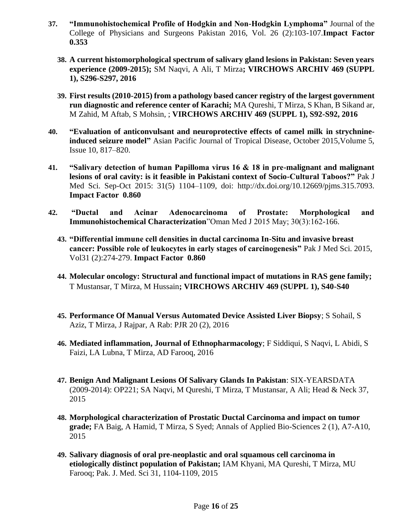- **37. "Immunohistochemical Profile of Hodgkin and Non-Hodgkin Lymphoma"** Journal of the College of Physicians and Surgeons Pakistan 2016, Vol. 26 (2):103-107.**Impact Factor 0.353**
	- **38. A current histomorphological spectrum of salivary gland lesions in Pakistan: Seven years experience (2009-2015);** SM Naqvi, A Ali, T Mirza**; VIRCHOWS ARCHIV 469 (SUPPL 1), S296-S297, 2016**
	- **39. First results (2010-2015) from a pathology based cancer registry of the largest government run diagnostic and reference center of Karachi;** MA Qureshi, T Mirza, S Khan, B Sikand ar, M Zahid, M Aftab, S Mohsin, ; **VIRCHOWS ARCHIV 469 (SUPPL 1), S92-S92, 2016**
- **40. "Evaluation of anticonvulsant and neuroprotective effects of camel milk in strychnineinduced seizure model"** [Asian Pacific Journal of Tropical Disease,](http://www.sciencedirect.com/science/journal/22221808) October 2015[,Volume 5,](http://www.sciencedirect.com/science/journal/22221808/5/10)  [Issue 10,](http://www.sciencedirect.com/science/journal/22221808/5/10) 817–820.
- **41. "Salivary detection of human Papilloma virus 16 & 18 in pre-malignant and malignant lesions of oral cavity: is it feasible in Pakistani context of Socio-Cultural Taboos?"** Pak J Med Sci. Sep-Oct 2015: 31(5) 1104–1109, doi: [http://dx.doi.org/10.12669/pjms.315.7093.](http://dx.doi.org/10.12669/pjms.315.7093) **Impact Factor 0.860**
- **42. "Ductal and Acinar Adenocarcinoma of Prostate: Morphological and Immunohistochemical Characterization**"Oman Med J 2015 May; 30(3):162-166.
	- **43. "Differential immune cell densities in ductal carcinoma In-Situ and invasive breast cancer: Possible role of leukocytes in early stages of carcinogenesis"** Pak J Med Sci. 2015, Vol31 (2):274-279. **Impact Factor 0.860**
	- **44. Molecular oncology: Structural and functional impact of mutations in RAS gene family;**  T Mustansar, T Mirza, M Hussain**; VIRCHOWS ARCHIV 469 (SUPPL 1), S40-S40**
	- **45. Performance Of Manual Versus Automated Device Assisted Liver Biopsy**; S Sohail, S Aziz, T Mirza, J Rajpar, A Rab: PJR 20 (2), 2016
	- **46. Mediated inflammation, Journal of Ethnopharmacology**; F Siddiqui, S Naqvi, L Abidi, S Faizi, LA Lubna, T Mirza, AD Farooq, 2016
	- **47. Benign And Malignant Lesions Of Salivary Glands In Pakistan**: SIX-YEARSDATA (2009-2014): OP221; SA Naqvi, M Qureshi, T Mirza, T Mustansar, A Ali; Head & Neck 37, 2015
	- **48. Morphological characterization of Prostatic Ductal Carcinoma and impact on tumor grade;** FA Baig, A Hamid, T Mirza, S Syed; Annals of Applied Bio-Sciences 2 (1), A7-A10, 2015
	- **49. Salivary diagnosis of oral pre-neoplastic and oral squamous cell carcinoma in etiologically distinct population of Pakistan;** IAM Khyani, MA Qureshi, T Mirza, MU Farooq; Pak. J. Med. Sci 31, 1104-1109, 2015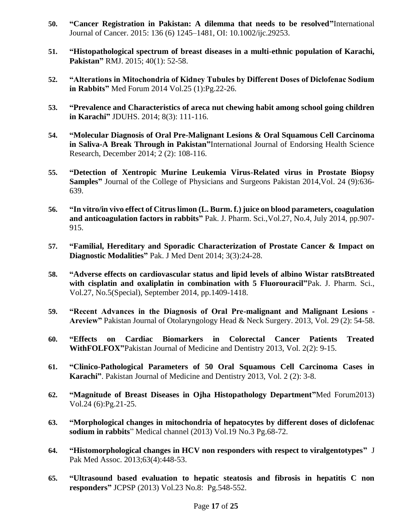- **50. "Cancer Registration in Pakistan: A dilemma that needs to be resolved"**International Journal of Cancer. 2015: 136 (6) 1245–1481, OI: 10.1002/ijc.29253.
- **51. "Histopathological spectrum of breast diseases in a multi-ethnic population of Karachi, Pakistan"** RMJ. 2015; 40(1): 52-58.
- **52. "Alterations in Mitochondria of Kidney Tubules by Different Doses of Diclofenac Sodium in Rabbits"** Med Forum 2014 Vol.25 (1):Pg.22-26.
- **53. "Prevalence and Characteristics of areca nut chewing habit among school going children in Karachi"** JDUHS. 2014; 8(3): 111-116.
- **54. "Molecular Diagnosis of Oral Pre-Malignant Lesions & Oral Squamous Cell Carcinoma in Saliva-A Break Through in Pakistan"**International Journal of Endorsing Health Science Research, December 2014; 2 (2): 108-116.
- **55. "Detection of Xentropic Murine Leukemia Virus-Related virus in Prostate Biopsy Samples"** Journal of the College of Physicians and Surgeons Pakistan 2014,Vol. 24 (9):636- 639.
- **56. "In vitro/in vivo effect of Citrus limon (L. Burm. f.) juice on blood parameters, coagulation and anticoagulation factors in rabbits"** Pak. J. Pharm. Sci.,Vol.27, No.4, July 2014, pp.907- 915.
- **57. "Familial, Hereditary and Sporadic Characterization of Prostate Cancer & Impact on Diagnostic Modalities"** Pak. J Med Dent 2014; 3(3):24-28.
- **58. "Adverse effects on cardiovascular status and lipid levels of albino Wistar ratsBtreated with cisplatin and oxaliplatin in combination with 5 Fluorouracil"**Pak. J. Pharm. Sci., Vol.27, No.5(Special), September 2014, pp.1409-1418.
- **59. "Recent Advances in the Diagnosis of Oral Pre-malignant and Malignant Lesions - Areview"** Pakistan Journal of Otolaryngology Head & Neck Surgery. 2013, Vol. 29 (2): 54-58.
- **60. "Effects on Cardiac Biomarkers in Colorectal Cancer Patients Treated WithFOLFOX"**Pakistan Journal of Medicine and Dentistry 2013, Vol. 2(2): 9-15.
- **61. "Clinico-Pathological Parameters of 50 Oral Squamous Cell Carcinoma Cases in Karachi"**. Pakistan Journal of Medicine and Dentistry 2013, Vol. 2 (2): 3-8.
- **62. "Magnitude of Breast Diseases in Ojha Histopathology Department"**Med Forum2013) Vol.24 (6):Pg.21-25.
- **63. "Morphological changes in mitochondria of hepatocytes by different doses of diclofenac sodium in rabbits**" Medical channel (2013) Vol.19 No.3 Pg.68-72.
- **64. "Histomorphological changes in HCV non responders with respect to viralgentotypes"** J Pak Med Assoc. 2013;63(4):448-53.
- **65. "Ultrasound based evaluation to hepatic steatosis and fibrosis in hepatitis C non responders"** JCPSP (2013) Vol.23 No.8: Pg.548-552.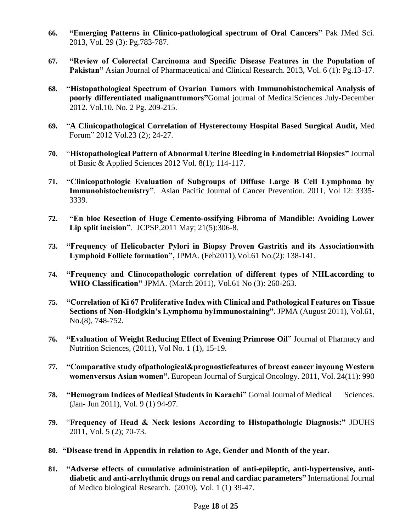- **66. "Emerging Patterns in Clinico-pathological spectrum of Oral Cancers"** Pak JMed Sci. 2013, Vol. 29 (3): Pg.783-787.
- **67. "Review of Colorectal Carcinoma and Specific Disease Features in the Population of Pakistan"** Asian Journal of Pharmaceutical and Clinical Research. 2013, Vol. 6 (1): Pg.13-17.
- **68. "Histopathological Spectrum of Ovarian Tumors with Immunohistochemical Analysis of poorly differentiated malignanttumors"**Gomal journal of MedicalSciences July-December 2012. Vol.10. No. 2 Pg. 209-215.
- **69.** "**A Clinicopathological Correlation of Hysterectomy Hospital Based Surgical Audit,** Med Forum" 2012 Vol.23 (2); 24-27.
- **70.** "**Histopathological Pattern of Abnormal Uterine Bleeding in Endometrial Biopsies"** Journal of Basic & Applied Sciences 2012 Vol. 8(1); 114-117.
- **71. "Clinicopathologic Evaluation of Subgroups of Diffuse Large B Cell Lymphoma by Immunohistochemistry"**. [Asian Pacific Journal of Cancer Prevention.](http://www.ncbi.nlm.nih.gov/pubmed/21575543) 2011, Vol 12: 3335- 3339.
- **72. "En bloc Resection of Huge Cemento-ossifying Fibroma of Mandible: Avoiding Lower Lip split incision"**. [JCPSP,](http://www.ncbi.nlm.nih.gov/pubmed/21575543)2011 May; 21(5):306-8.
- **73. "Frequency of Helicobacter Pylori in Biopsy Proven Gastritis and its Associationwith Lymphoid Follicle formation",** JPMA. (Feb2011),Vol.61 No.(2): 138-141.
- **74. "Frequency and Clinocopathologic correlation of different types of NHLaccording to WHO Classification"** JPMA. (March 2011), Vol.61 No (3): 260-263.
- **75. "Correlation of Ki 67 Proliferative Index with Clinical and Pathological Features on Tissue Sections of Non-Hodgkin's Lymphoma byImmunostaining".** JPMA (August 2011), Vol.61, No.(8), 748-752.
- **76. "Evaluation of Weight Reducing Effect of Evening Primrose Oil**" Journal of Pharmacy and Nutrition Sciences, (2011), Vol No. 1 (1), 15-19.
- **77. "Comparative study ofpathological&prognosticfeatures of breast cancer inyoung Western womenversus Asian women".** [European Journal of Surgical Oncology.](http://www.ncbi.nlm.nih.gov/pubmed/21575543) 2011, Vol. 24(11): 990
- **78. "Hemogram Indices of Medical Students in Karachi"** Gomal Journal of Medical Sciences. (Jan- Jun 2011), Vol. 9 (1) 94-97.
- **79.** "**Frequency of Head & Neck lesions According to Histopathologic Diagnosis:"** JDUHS 2011, Vol. 5 (2); 70-73.
- **80. "Disease trend in Appendix in relation to Age, Gender and Month of the year.**
- **81. "Adverse effects of cumulative administration of anti-epileptic, anti-hypertensive, antidiabetic and anti-arrhythmic drugs on renal and cardiac parameters"** International Journal of Medico biological Research. (2010), Vol. 1 (1) 39-47.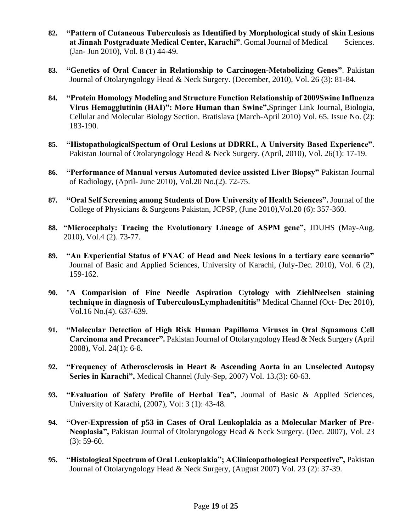- **82. "Pattern of Cutaneous Tuberculosis as Identified by Morphological study of skin Lesions at Jinnah Postgraduate Medical Center, Karachi"**. Gomal Journal of Medical Sciences. (Jan- Jun 2010), Vol. 8 (1) 44-49.
- **83. "Genetics of Oral Cancer in Relationship to Carcinogen-Metabolizing Genes"**. Pakistan Journal of Otolaryngology Head & Neck Surgery. (December, 2010), Vol. 26 (3): 81-84.
- **84. "Protein Homology Modeling and Structure Function Relationship of 2009Swine Influenza Virus Hemagglutinin (HAI)": More Human than Swine",**Springer Link Journal, Biologia, Cellular and Molecular Biology Section. Bratislava (March-April 2010) Vol. 65. Issue No. (2): 183-190.
- **85. "HistopathologicalSpectum of Oral Lesions at DDRRL, A University Based Experience"**. Pakistan Journal of Otolaryngology Head & Neck Surgery. (April, 2010), Vol. 26(1): 17-19.
- **86. "Performance of Manual versus Automated device assisted Liver Biopsy"** Pakistan Journal of Radiology, (April- June 2010), Vol.20 No.(2). 72-75.
- **87. "Oral Self Screening among Students of Dow University of Health Sciences".** Journal of the College of Physicians & Surgeons Pakistan, JCPSP, (June 2010),Vol.20 (6): 357-360.
- **88. "Microcephaly: Tracing the Evolutionary Lineage of ASPM gene",** JDUHS (May-Aug. 2010), Vol.4 (2). 73-77.
- **89. "An Experiential Status of FNAC of Head and Neck lesions in a tertiary care scenario"** Journal of Basic and Applied Sciences, University of Karachi, (July-Dec. 2010), Vol. 6 (2), 159-162.
- **90.** "**A Comparision of Fine Needle Aspiration Cytology with ZiehlNeelsen staining technique in diagnosis of TuberculousLymphadenititis"** Medical Channel (Oct- Dec 2010), Vol.16 No.(4). 637-639.
- **91. "Molecular Detection of High Risk Human Papilloma Viruses in Oral Squamous Cell Carcinoma and Precancer".** Pakistan Journal of Otolaryngology Head & Neck Surgery (April 2008), Vol. 24(1): 6-8.
- **92. "Frequency of Atherosclerosis in Heart & Ascending Aorta in an Unselected Autopsy Series in Karachi",** Medical Channel (July-Sep, 2007) Vol. 13.(3): 60-63.
- **93. "Evaluation of Safety Profile of Herbal Tea",** Journal of Basic & Applied Sciences, University of Karachi, (2007), Vol: 3 (1): 43-48.
- **94. "Over-Expression of p53 in Cases of Oral Leukoplakia as a Molecular Marker of Pre-Neoplasia",** Pakistan Journal of Otolaryngology Head & Neck Surgery. (Dec. 2007), Vol. 23  $(3)$ : 59-60.
- **95. "Histological Spectrum of Oral Leukoplakia"; AClinicopathological Perspective",** Pakistan Journal of Otolaryngology Head & Neck Surgery, (August 2007) Vol. 23 (2): 37-39.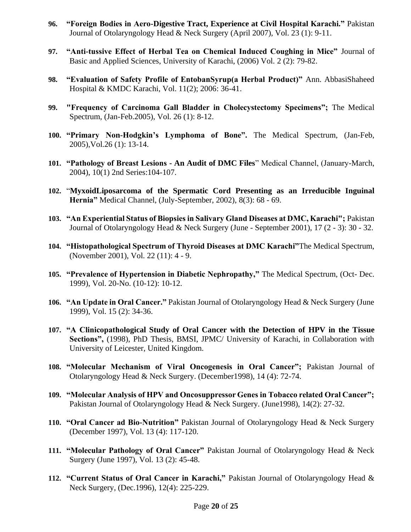- **96. "Foreign Bodies in Aero-Digestive Tract, Experience at Civil Hospital Karachi."** Pakistan Journal of Otolaryngology Head & Neck Surgery (April 2007), Vol. 23 (1): 9-11.
- **97. "Anti-tussive Effect of Herbal Tea on Chemical Induced Coughing in Mice"** Journal of Basic and Applied Sciences, University of Karachi, (2006) Vol. 2 (2): 79-82.
- **98. "Evaluation of Safety Profile of EntobanSyrup(a Herbal Product)"** Ann. AbbasiShaheed Hospital & KMDC Karachi, Vol. 11(2); 2006: 36-41.
- **99. "Frequency of Carcinoma Gall Bladder in Cholecystectomy Specimens";** The Medical Spectrum, (Jan-Feb.2005), Vol. 26 (1): 8-12.
- **100. "Primary Non-Hodgkin's Lymphoma of Bone".** The Medical Spectrum, (Jan-Feb, 2005),Vol.26 (1): 13-14.
- **101. "Pathology of Breast Lesions - An Audit of DMC Files**" Medical Channel, (January-March, 2004), 10(1) 2nd Series:104-107.
- **102.** "**MyxoidLiposarcoma of the Spermatic Cord Presenting as an Irreducible Inguinal Hernia"** Medical Channel, (July-September, 2002), 8(3): 68 - 69.
- **103. "An Experiential Status of Biopsies in Salivary Gland Diseases at DMC, Karachi";** Pakistan Journal of Otolaryngology Head & Neck Surgery (June - September 2001), 17 (2 - 3): 30 - 32.
- **104. "Histopathological Spectrum of Thyroid Diseases at DMC Karachi"**The Medical Spectrum, (November 2001), Vol. 22 (11): 4 - 9.
- **105. "Prevalence of Hypertension in Diabetic Nephropathy,"** The Medical Spectrum, (Oct- Dec. 1999), Vol. 20-No. (10-12): 10-12.
- **106. "An Update in Oral Cancer."** Pakistan Journal of Otolaryngology Head & Neck Surgery (June 1999), Vol. 15 (2): 34-36.
- **107. "A Clinicopathological Study of Oral Cancer with the Detection of HPV in the Tissue Sections",** (1998), PhD Thesis, BMSI, JPMC/ University of Karachi, in Collaboration with University of Leicester, United Kingdom.
- **108. "Molecular Mechanism of Viral Oncogenesis in Oral Cancer";** Pakistan Journal of Otolaryngology Head & Neck Surgery. (December1998), 14 (4): 72-74.
- **109. "Molecular Analysis of HPV and Oncosuppressor Genes in Tobacco related Oral Cancer";** Pakistan Journal of Otolaryngology Head & Neck Surgery. (June1998), 14(2): 27-32.
- **110. "Oral Cancer ad Bio-Nutrition"** Pakistan Journal of Otolaryngology Head & Neck Surgery (December 1997), Vol. 13 (4): 117-120.
- **111. "Molecular Pathology of Oral Cancer"** Pakistan Journal of Otolaryngology Head & Neck Surgery (June 1997), Vol. 13 (2): 45-48.
- **112. "Current Status of Oral Cancer in Karachi,"** Pakistan Journal of Otolaryngology Head & Neck Surgery, (Dec.1996), 12(4): 225-229.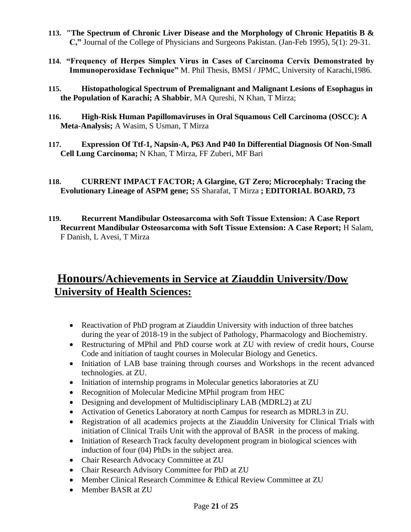- **113. "The Spectrum of Chronic Liver Disease and the Morphology of Chronic Hepatitis B & C,"** Journal of the College of Physicians and Surgeons Pakistan. (Jan-Feb 1995), 5(1): 29-31.
- **114. "Frequency of Herpes Simplex Virus in Cases of Carcinoma Cervix Demonstrated by Immunoperoxidase Technique"** M. Phil Thesis, BMSI / JPMC, University of Karachi,1986.
- **115. Histopathological Spectrum of Premalignant and Malignant Lesions of Esophagus in the Population of Karachi; A Shabbir**, MA Qureshi, N Khan, T Mirza;
- **116. High-Risk Human Papillomaviruses in Oral Squamous Cell Carcinoma (OSCC): A Meta-Analysis;** A Wasim, S Usman, T Mirza
- **117. Expression Of Ttf-1, Napsin-A, P63 And P40 In Differential Diagnosis Of Non-Small Cell Lung Carcinoma;** N Khan, T Mirza, FF Zuberi, MF Bari
- **118. CURRENT IMPACT FACTOR; A Glargine, GT Zero; Microcephaly: Tracing the Evolutionary Lineage of ASPM gene;** SS Sharafat, T Mirza **; EDITORIAL BOARD, 73**
- **119. Recurrent Mandibular Osteosarcoma with Soft Tissue Extension: A Case Report Recurrent Mandibular Osteosarcoma with Soft Tissue Extension: A Case Report;** H Salam, F Danish, L Avesi, T Mirza

## **Honours/Achievements in Service at Ziauddin University/Dow University of Health Sciences:**

- Reactivation of PhD program at Ziauddin University with induction of three batches during the year of 2018-19 in the subject of Pathology, Pharmacology and Biochemistry.
- Restructuring of MPhil and PhD course work at ZU with review of credit hours, Course Code and initiation of taught courses in Molecular Biology and Genetics.
- Initiation of LAB base training through courses and Workshops in the recent advanced technologies. at ZU.
- Initiation of internship programs in Molecular genetics laboratories at ZU
- Recognition of Molecular Medicine MPhil program from HEC
- Designing and development of Multidisciplinary LAB (MDRL2) at ZU
- Activation of Genetics Laboratory at north Campus for research as MDRL3 in ZU.
- Registration of all academics projects at the Ziauddin University for Clinical Trials with initiation of Clinical Trails Unit with the approval of BASR in the process of making.
- Initiation of Research Track faculty development program in biological sciences with induction of four (04) PhDs in the subject area.
- Chair Research Advocacy Committee at ZU
- Chair Research Advisory Committee for PhD at ZU
- Member Clinical Research Committee & Ethical Review Committee at ZU
- Member BASR at ZU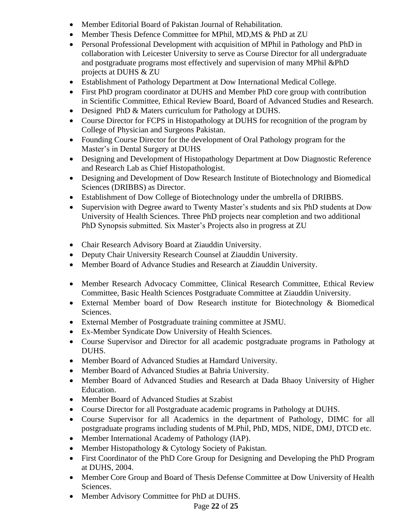- Member Editorial Board of Pakistan Journal of Rehabilitation.
- Member Thesis Defence Committee for MPhil, MD,MS & PhD at ZU
- Personal Professional Development with acquisition of MPhil in Pathology and PhD in collaboration with Leicester University to serve as Course Director for all undergraduate and postgraduate programs most effectively and supervision of many MPhil &PhD projects at DUHS & ZU
- Establishment of Pathology Department at Dow International Medical College.
- First PhD program coordinator at DUHS and Member PhD core group with contribution in Scientific Committee, Ethical Review Board, Board of Advanced Studies and Research.
- Designed PhD & Maters curriculum for Pathology at DUHS.
- Course Director for FCPS in Histopathology at DUHS for recognition of the program by College of Physician and Surgeons Pakistan.
- Founding Course Director for the development of Oral Pathology program for the Master's in Dental Surgery at DUHS
- Designing and Development of Histopathology Department at Dow Diagnostic Reference and Research Lab as Chief Histopathologist.
- Designing and Development of Dow Research Institute of Biotechnology and Biomedical Sciences (DRIBBS) as Director.
- Establishment of Dow College of Biotechnology under the umbrella of DRIBBS.
- Supervision with Degree award to Twenty Master's students and six PhD students at Dow University of Health Sciences. Three PhD projects near completion and two additional PhD Synopsis submitted. Six Master's Projects also in progress at ZU
- Chair Research Advisory Board at Ziauddin University.
- Deputy Chair University Research Counsel at Ziauddin University.
- Member Board of Advance Studies and Research at Ziauddin University.
- Member Research Advocacy Committee, Clinical Research Committee, Ethical Review Committee, Basic Health Sciences Postgraduate Committee at Ziauddin University.
- External Member board of Dow Research institute for Biotechnology & Biomedical Sciences.
- External Member of Postgraduate training committee at JSMU.
- Ex-Member Syndicate Dow University of Health Sciences.
- Course Supervisor and Director for all academic postgraduate programs in Pathology at DUHS.
- Member Board of Advanced Studies at Hamdard University.
- Member Board of Advanced Studies at Bahria University.
- Member Board of Advanced Studies and Research at Dada Bhaoy University of Higher Education.
- Member Board of Advanced Studies at Szabist
- Course Director for all Postgraduate academic programs in Pathology at DUHS.
- Course Supervisor for all Academics in the department of Pathology, DIMC for all postgraduate programs including students of M.Phil, PhD, MDS, NIDE, DMJ, DTCD etc.
- Member International Academy of Pathology (IAP).
- Member Histopathology & Cytology Society of Pakistan.
- First Coordinator of the PhD Core Group for Designing and Developing the PhD Program at DUHS, 2004.
- Member Core Group and Board of Thesis Defense Committee at Dow University of Health Sciences.
- Member Advisory Committee for PhD at DUHS.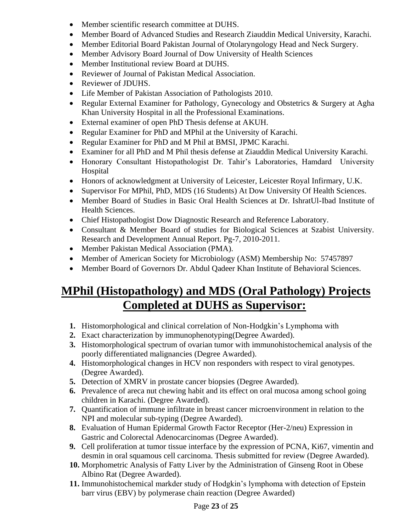- Member scientific research committee at DUHS.
- Member Board of Advanced Studies and Research Ziauddin Medical University, Karachi.
- Member Editorial Board Pakistan Journal of Otolaryngology Head and Neck Surgery.
- Member Advisory Board Journal of Dow University of Health Sciences
- Member Institutional review Board at DUHS.
- Reviewer of Journal of Pakistan Medical Association.
- Reviewer of JDUHS.
- Life Member of Pakistan Association of Pathologists 2010.
- Regular External Examiner for Pathology, Gynecology and Obstetrics & Surgery at Agha Khan University Hospital in all the Professional Examinations.
- External examiner of open PhD Thesis defense at AKUH.
- Regular Examiner for PhD and MPhil at the University of Karachi.
- Regular Examiner for PhD and M Phil at BMSI, JPMC Karachi.
- Examiner for all PhD and M Phil thesis defense at Ziauddin Medical University Karachi.
- Honorary Consultant Histopathologist Dr. Tahir's Laboratories, Hamdard University Hospital
- Honors of acknowledgment at University of Leicester, Leicester Royal Infirmary, U.K.
- Supervisor For MPhil, PhD, MDS (16 Students) At Dow University Of Health Sciences.
- Member Board of Studies in Basic Oral Health Sciences at Dr. IshratUl-Ibad Institute of Health Sciences.
- Chief Histopathologist Dow Diagnostic Research and Reference Laboratory.
- Consultant & Member Board of studies for Biological Sciences at Szabist University. Research and Development Annual Report. Pg-7, 2010-2011.
- Member Pakistan Medical Association (PMA).
- Member of American Society for Microbiology (ASM) Membership No: 57457897
- Member Board of Governors Dr. Abdul Qadeer Khan Institute of Behavioral Sciences.

# **MPhil (Histopathology) and MDS (Oral Pathology) Projects Completed at DUHS as Supervisor:**

- **1.** Histomorphological and clinical correlation of Non-Hodgkin's Lymphoma with
- **2.** Exact characterization by immunophenotyping(Degree Awarded).
- **3.** Histomorphological spectrum of ovarian tumor with immunohistochemical analysis of the poorly differentiated malignancies (Degree Awarded).
- **4.** Histomorphological changes in HCV non responders with respect to viral genotypes. (Degree Awarded).
- **5.** Detection of XMRV in prostate cancer biopsies (Degree Awarded).
- **6.** Prevalence of areca nut chewing habit and its effect on oral mucosa among school going children in Karachi. (Degree Awarded).
- **7.** Quantification of immune infiltrate in breast cancer microenvironment in relation to the NPI and molecular sub-typing (Degree Awarded).
- **8.** Evaluation of Human Epidermal Growth Factor Receptor (Her-2/neu) Expression in Gastric and Colorectal Adenocarcinomas (Degree Awarded).
- **9.** Cell proliferation at tumor tissue interface by the expression of PCNA, Ki67, vimentin and desmin in oral squamous cell carcinoma. Thesis submitted for review (Degree Awarded).
- **10.** Morphometric Analysis of Fatty Liver by the Administration of Ginseng Root in Obese Albino Rat (Degree Awarded).
- **11.** Immunohistochemical markder study of Hodgkin's lymphoma with detection of Epstein barr virus (EBV) by polymerase chain reaction (Degree Awarded)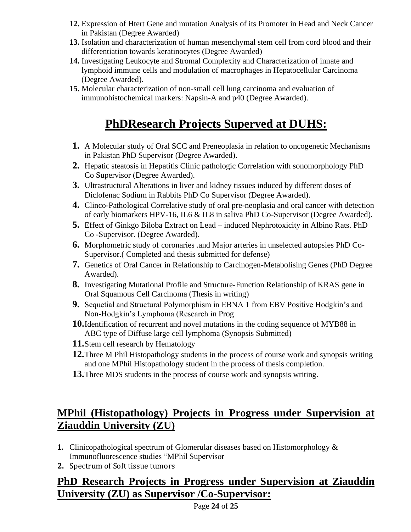- **12.** Expression of Htert Gene and mutation Analysis of its Promoter in Head and Neck Cancer in Pakistan (Degree Awarded)
- **13.** Isolation and characterization of human mesenchymal stem cell from cord blood and their differentiation towards keratinocytes (Degree Awarded)
- **14.** Investigating Leukocyte and Stromal Complexity and Characterization of innate and lymphoid immune cells and modulation of macrophages in Hepatocellular Carcinoma (Degree Awarded).
- **15.** Molecular characterization of non-small cell lung carcinoma and evaluation of immunohistochemical markers: Napsin-A and p40 (Degree Awarded).

# **PhDResearch Projects Superved at DUHS:**

- **1.** A Molecular study of Oral SCC and Preneoplasia in relation to oncogenetic Mechanisms in Pakistan PhD Supervisor (Degree Awarded).
- **2.** Hepatic steatosis in Hepatitis Clinic pathologic Correlation with sonomorphology PhD Co Supervisor (Degree Awarded).
- **3.** Ultrastructural Alterations in liver and kidney tissues induced by different doses of Diclofenac Sodium in Rabbits PhD Co Supervisor (Degree Awarded).
- **4.** Clinco-Pathological Correlative study of oral pre-neoplasia and oral cancer with detection of early biomarkers HPV-16, IL6 & IL8 in saliva PhD Co-Supervisor (Degree Awarded).
- **5.** Effect of Ginkgo Biloba Extract on Lead induced Nephrotoxicity in Albino Rats. PhD Co -Supervisor. (Degree Awarded).
- **6.** Morphometric study of coronaries .and Major arteries in unselected autopsies PhD Co-Supervisor.( Completed and thesis submitted for defense)
- **7.** Genetics of Oral Cancer in Relationship to Carcinogen-Metabolising Genes (PhD Degree Awarded).
- **8.** Investigating Mutational Profile and Structure-Function Relationship of KRAS gene in Oral Squamous Cell Carcinoma (Thesis in writing)
- **9.** Sequetial and Structural Polymorphism in EBNA 1 from EBV Positive Hodgkin's and Non-Hodgkin's Lymphoma (Research in Prog
- **10.**Identification of recurrent and novel mutations in the coding sequence of MYB88 in ABC type of Diffuse large cell lymphoma (Synopsis Submitted)
- **11.**Stem cell research by Hematology
- **12.**Three M Phil Histopathology students in the process of course work and synopsis writing and one MPhil Histopathology student in the process of thesis completion.
- **13.**Three MDS students in the process of course work and synopsis writing.

# **MPhil (Histopathology) Projects in Progress under Supervision at Ziauddin University (ZU)**

- **1.** Clinicopathological spectrum of Glomerular diseases based on Histomorphology & Immunofluorescence studies "MPhil Supervisor
- **2.** Spectrum of Soft tissue tumors

#### **PhD Research Projects in Progress under Supervision at Ziauddin University (ZU) as Supervisor /Co-Supervisor:**